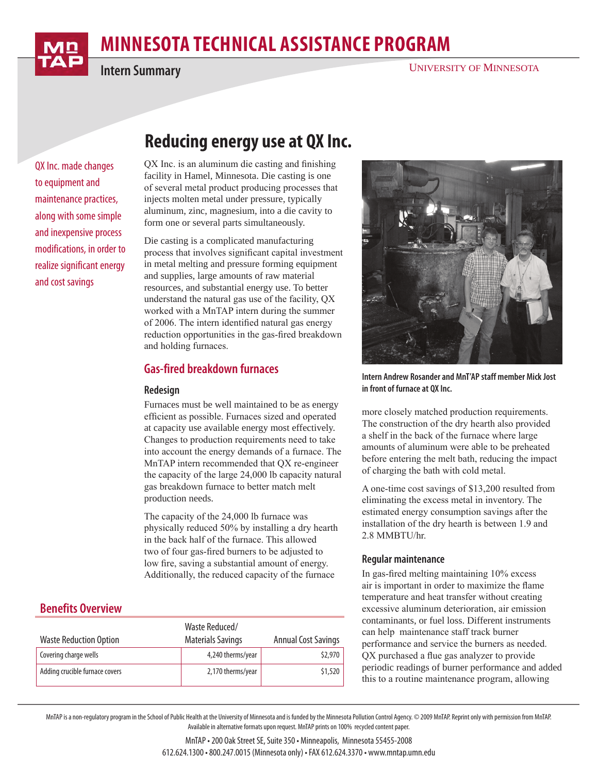

**Intern Summary**

# **minnesota Technical Assistance Program**

QX Inc. made changes to equipment and maintenance practices, along with some simple and inexpensive process modifications, in order to realize significant energy and cost savings

## **Reducing energy use at QX Inc.**

QX Inc. is an aluminum die casting and finishing facility in Hamel, Minnesota. Die casting is one of several metal product producing processes that injects molten metal under pressure, typically aluminum, zinc, magnesium, into a die cavity to form one or several parts simultaneously.

Die casting is a complicated manufacturing process that involves significant capital investment in metal melting and pressure forming equipment and supplies, large amounts of raw material resources, and substantial energy use. To better understand the natural gas use of the facility, QX worked with a MnTAP intern during the summer of 2006. The intern identified natural gas energy reduction opportunities in the gas-fired breakdown and holding furnaces.

## **Gas-fired breakdown furnaces**

#### **Redesign**

Furnaces must be well maintained to be as energy efficient as possible. Furnaces sized and operated at capacity use available energy most effectively. Changes to production requirements need to take into account the energy demands of a furnace. The MnTAP intern recommended that QX re-engineer the capacity of the large 24,000 lb capacity natural gas breakdown furnace to better match melt production needs.

The capacity of the 24,000 lb furnace was physically reduced 50% by installing a dry hearth in the back half of the furnace. This allowed two of four gas-fired burners to be adjusted to low fire, saving a substantial amount of energy. Additionally, the reduced capacity of the furnace

## **Benefits Overview**

| <b>Waste Reduction Option</b>  | Waste Reduced/<br><b>Materials Savings</b> | <b>Annual Cost Savings</b> |
|--------------------------------|--------------------------------------------|----------------------------|
| Covering charge wells          | 4,240 therms/year                          | \$2,970                    |
| Adding crucible furnace covers | 2,170 therms/year                          | \$1,520                    |



**Intern Andrew Rosander and MnT'AP staff member Mick Jost in front of furnace at QX Inc.**

more closely matched production requirements. The construction of the dry hearth also provided a shelf in the back of the furnace where large amounts of aluminum were able to be preheated before entering the melt bath, reducing the impact of charging the bath with cold metal.

A one-time cost savings of \$13,200 resulted from eliminating the excess metal in inventory. The estimated energy consumption savings after the installation of the dry hearth is between 1.9 and 2.8 MMBTU/hr.

#### **Regular maintenance**

In gas-fired melting maintaining 10% excess air is important in order to maximize the flame temperature and heat transfer without creating excessive aluminum deterioration, air emission contaminants, or fuel loss. Different instruments can help maintenance staff track burner performance and service the burners as needed. QX purchased a flue gas analyzer to provide periodic readings of burner performance and added this to a routine maintenance program, allowing

MnTAP is a non-regulatory program in the School of Public Health at the University of Minnesota and is funded by the Minnesota Pollution Control Agency. © 2009 MnTAP. Reprint only with permission from MnTAP. Available in alternative formats upon request. MnTAP prints on 100% recycled content paper.